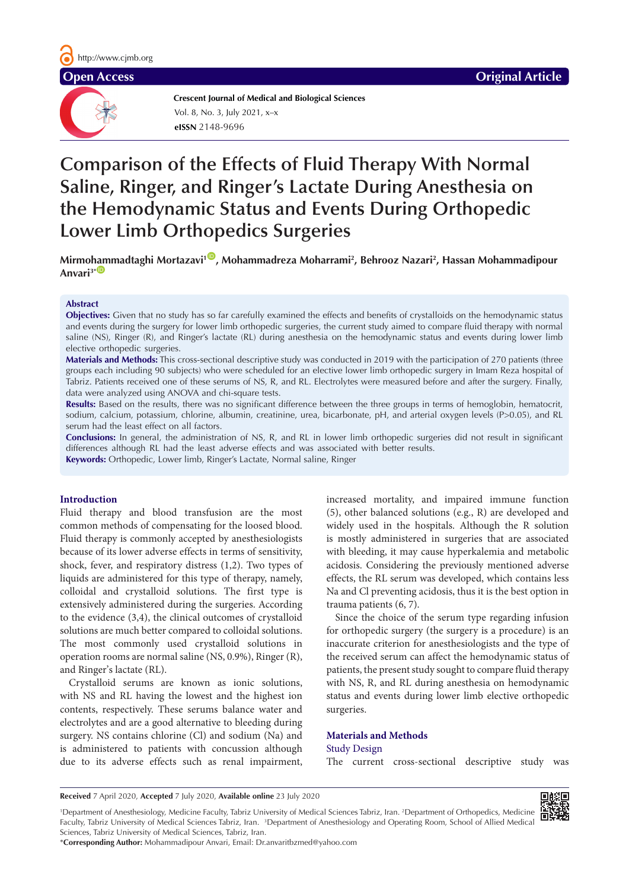**Crescent Journal of Medical and Biological Sciences eISSN** 2148-9696 Vol. 8, No. 3, July 2021, x–x

# **Comparison of the Effects of Fluid Therapy With Normal Saline, Ringer, and Ringer's Lactate During Anesthesia on the Hemodynamic Status and Events During Orthopedic Lower Limb Orthopedics Surgeries**

**Mirmo[ham](http://orcid.org/0000-0003-3998-1275)madtaghi Mortazavi1** [ID](http://orcid.org/0000-0002-5121-1022) **, Mohammadreza Moharrami2 , Behrooz Nazari2 , Hassan Mohammadipour**  Anvari<sup>3\*</sup><sup>D</sup>

#### **Abstract**

**Objectives:** Given that no study has so far carefully examined the effects and benefits of crystalloids on the hemodynamic status and events during the surgery for lower limb orthopedic surgeries, the current study aimed to compare fluid therapy with normal saline (NS), Ringer (R), and Ringer's lactate (RL) during anesthesia on the hemodynamic status and events during lower limb elective orthopedic surgeries.

**Materials and Methods:** This cross-sectional descriptive study was conducted in 2019 with the participation of 270 patients (three groups each including 90 subjects) who were scheduled for an elective lower limb orthopedic surgery in Imam Reza hospital of Tabriz. Patients received one of these serums of NS, R, and RL. Electrolytes were measured before and after the surgery. Finally, data were analyzed using ANOVA and chi-square tests.

Results: Based on the results, there was no significant difference between the three groups in terms of hemoglobin, hematocrit, sodium, calcium, potassium, chlorine, albumin, creatinine, urea, bicarbonate, pH, and arterial oxygen levels (P>0.05), and RL serum had the least effect on all factors.

**Conclusions:** In general, the administration of NS, R, and RL in lower limb orthopedic surgeries did not result in significant differences although RL had the least adverse effects and was associated with better results. **Keywords:** Orthopedic, Lower limb, Ringer's Lactate, Normal saline, Ringer

#### **Introduction**

Fluid therapy and blood transfusion are the most common methods of compensating for the loosed blood. Fluid therapy is commonly accepted by anesthesiologists because of its lower adverse effects in terms of sensitivity, shock, fever, and respiratory distress (1,2). Two types of liquids are administered for this type of therapy, namely, colloidal and crystalloid solutions. The first type is extensively administered during the surgeries. According to the evidence (3,4), the clinical outcomes of crystalloid solutions are much better compared to colloidal solutions. The most commonly used crystalloid solutions in operation rooms are normal saline (NS, 0.9%), Ringer (R), and Ringer's lactate (RL).

Crystalloid serums are known as ionic solutions, with NS and RL having the lowest and the highest ion contents, respectively. These serums balance water and electrolytes and are a good alternative to bleeding during surgery. NS contains chlorine (Cl) and sodium (Na) and is administered to patients with concussion although due to its adverse effects such as renal impairment, increased mortality, and impaired immune function (5), other balanced solutions (e.g., R) are developed and widely used in the hospitals. Although the R solution is mostly administered in surgeries that are associated with bleeding, it may cause hyperkalemia and metabolic acidosis. Considering the previously mentioned adverse effects, the RL serum was developed, which contains less Na and Cl preventing acidosis, thus it is the best option in trauma patients (6, 7).

Since the choice of the serum type regarding infusion for orthopedic surgery (the surgery is a procedure) is an inaccurate criterion for anesthesiologists and the type of the received serum can affect the hemodynamic status of patients, the present study sought to compare fluid therapy with NS, R, and RL during anesthesia on hemodynamic status and events during lower limb elective orthopedic surgeries.

## **Materials and Methods** Study Design

The current cross-sectional descriptive study was

**Received** 7 April 2020, **Accepted** 7 July 2020, **Available online** 23 July 2020

<sup>&</sup>lt;sup>1</sup>Department of Anesthesiology, Medicine Faculty, Tabriz University of Medical Sciences Tabriz, Iran. <sup>2</sup>Department of Orthopedics, Medicine Faculty, Tabriz University of Medical Sciences Tabriz, Iran. <sup>3</sup>Department of Anesthesiology and Operating Room, School of Allied Medical Sciences, Tabriz University of Medical Sciences, Tabriz, Iran.

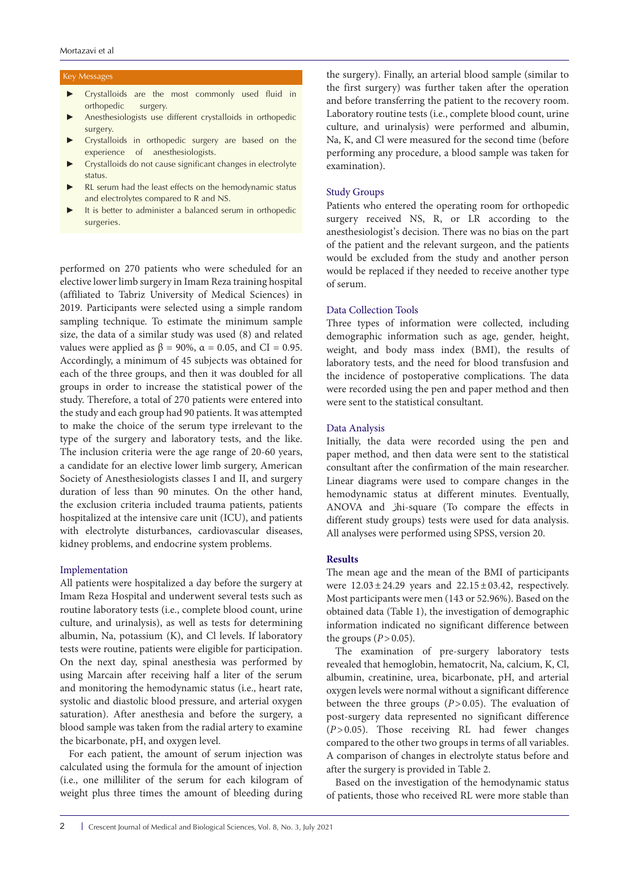#### Key Messages

- Crystalloids are the most commonly used fluid in orthopedic surgery.
- Anesthesiologists use different crystalloids in orthopedic surgery.
- Crystalloids in orthopedic surgery are based on the experience of anesthesiologists.
- Crystalloids do not cause significant changes in electrolyte status.
- RL serum had the least effects on the hemodynamic status and electrolytes compared to R and NS.
- It is better to administer a balanced serum in orthopedic surgeries.

performed on 270 patients who were scheduled for an elective lower limb surgery in Imam Reza training hospital (affiliated to Tabriz University of Medical Sciences) in 2019. Participants were selected using a simple random sampling technique. To estimate the minimum sample size, the data of a similar study was used (8) and related values were applied as  $β = 90\%$ ,  $α = 0.05$ , and CI = 0.95. Accordingly, a minimum of 45 subjects was obtained for each of the three groups, and then it was doubled for all groups in order to increase the statistical power of the study. Therefore, a total of 270 patients were entered into the study and each group had 90 patients. It was attempted to make the choice of the serum type irrelevant to the type of the surgery and laboratory tests, and the like. The inclusion criteria were the age range of 20-60 years, a candidate for an elective lower limb surgery, American Society of Anesthesiologists classes I and II, and surgery duration of less than 90 minutes. On the other hand, the exclusion criteria included trauma patients, patients hospitalized at the intensive care unit (ICU), and patients with electrolyte disturbances, cardiovascular diseases, kidney problems, and endocrine system problems.

#### Implementation

All patients were hospitalized a day before the surgery at Imam Reza Hospital and underwent several tests such as routine laboratory tests (i.e., complete blood count, urine culture, and urinalysis), as well as tests for determining albumin, Na, potassium (K), and Cl levels. If laboratory tests were routine, patients were eligible for participation. On the next day, spinal anesthesia was performed by using Marcain after receiving half a liter of the serum and monitoring the hemodynamic status (i.e., heart rate, systolic and diastolic blood pressure, and arterial oxygen saturation). After anesthesia and before the surgery, a blood sample was taken from the radial artery to examine the bicarbonate, pH, and oxygen level.

For each patient, the amount of serum injection was calculated using the formula for the amount of injection (i.e., one milliliter of the serum for each kilogram of weight plus three times the amount of bleeding during the surgery). Finally, an arterial blood sample (similar to the first surgery) was further taken after the operation and before transferring the patient to the recovery room. Laboratory routine tests (i.e., complete blood count, urine culture, and urinalysis) were performed and albumin, Na, K, and Cl were measured for the second time (before performing any procedure, a blood sample was taken for examination).

#### Study Groups

Patients who entered the operating room for orthopedic surgery received NS, R, or LR according to the anesthesiologist's decision. There was no bias on the part of the patient and the relevant surgeon, and the patients would be excluded from the study and another person would be replaced if they needed to receive another type of serum.

#### Data Collection Tools

Three types of information were collected, including demographic information such as age, gender, height, weight, and body mass index (BMI), the results of laboratory tests, and the need for blood transfusion and the incidence of postoperative complications. The data were recorded using the pen and paper method and then were sent to the statistical consultant.

#### Data Analysis

Initially, the data were recorded using the pen and paper method, and then data were sent to the statistical consultant after the confirmation of the main researcher. Linear diagrams were used to compare changes in the hemodynamic status at different minutes. Eventually, ANOVA and jhi-square (To compare the effects in different study groups) tests were used for data analysis. All analyses were performed using SPSS, version 20.

#### **Results**

The mean age and the mean of the BMI of participants were  $12.03 \pm 24.29$  years and  $22.15 \pm 03.42$ , respectively. Most participants were men (143 or 52.96%). Based on the obtained data (Table 1), the investigation of demographic information indicated no significant difference between the groups  $(P>0.05)$ .

The examination of pre-surgery laboratory tests revealed that hemoglobin, hematocrit, Na, calcium, K, Cl, albumin, creatinine, urea, bicarbonate, pH, and arterial oxygen levels were normal without a significant difference between the three groups (*P*>0.05). The evaluation of post-surgery data represented no significant difference (*P*>0.05). Those receiving RL had fewer changes compared to the other two groups in terms of all variables. A comparison of changes in electrolyte status before and after the surgery is provided in Table 2.

Based on the investigation of the hemodynamic status of patients, those who received RL were more stable than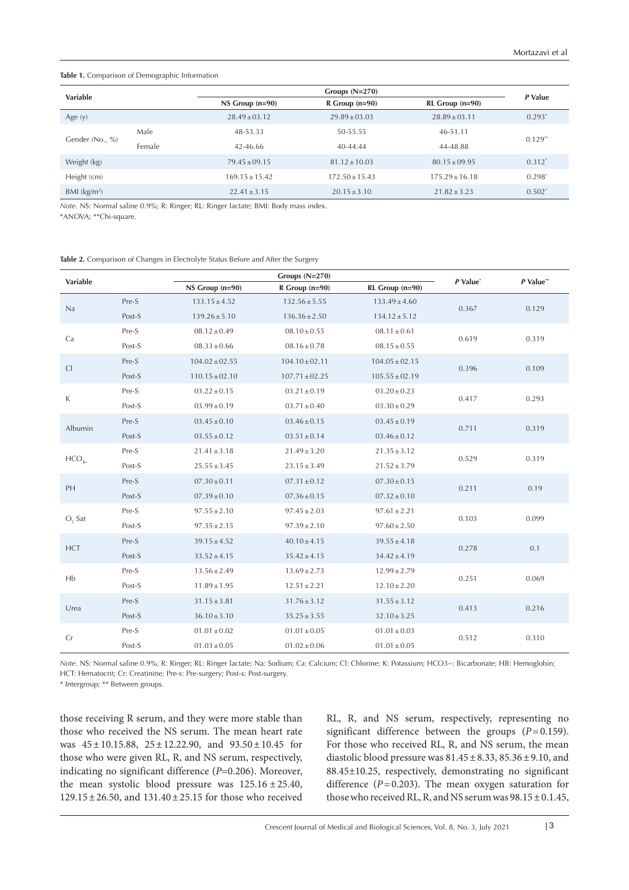#### **Table 1.** Comparison of Demographic Information

| Variable                   |        |                   | Groups $(N=270)$     |                       |           |  |  |
|----------------------------|--------|-------------------|----------------------|-----------------------|-----------|--|--|
|                            |        | $NS Group (n=90)$ | $R$ Group ( $n=90$ ) | $RL$ Group ( $n=90$ ) |           |  |  |
| Age $(y)$                  |        | $28.49 + 03.12$   | $29.89 + 03.03$      | $28.89 + 03.11$       | $0.293*$  |  |  |
| Gender (No., %)            | Male   | 48-53.33          | 50-55.55             | 46-51.11              |           |  |  |
|                            | Female | 42-46.66          | $40-44.44$           | 44-48.88              | $0.129**$ |  |  |
| Weight (kg)                |        | $79.45 + 09.15$   | $81.12 + 10.03$      | $80.15 + 09.95$       | $0.312*$  |  |  |
| Height (cm)                |        | $169.15 + 15.42$  | $172.50 + 15.43$     | $175.29 + 16.18$      | $0.298^*$ |  |  |
| $BMl$ (kg/m <sup>2</sup> ) |        | $22.41 \pm 3.15$  | $20.15 \pm 3.10$     | $21.82 \pm 3.23$      | $0.502*$  |  |  |

*Note.* NS: Normal saline 0.9%; R: Ringer; RL: Ringer lactate; BMI: Body mass index.

\*ANOVA; \*\*Chi-square.

|  |  |  |  | Table 2. Comparison of Changes in Electrolyte Status Before and After the Surgery |
|--|--|--|--|-----------------------------------------------------------------------------------|
|--|--|--|--|-----------------------------------------------------------------------------------|

| Variable   |        | Groups $(N=270)$   |                    |                    | P Value* | $P$ Value** |
|------------|--------|--------------------|--------------------|--------------------|----------|-------------|
|            |        | NS Group (n=90)    | $R$ Group (n=90)   | RL Group (n=90)    |          |             |
| Na         | Pre-S  | $133.15 \pm 4.52$  | $132.56 \pm 5.55$  | $133.49 \pm 4.60$  | 0.367    | 0.129       |
|            | Post-S | $139.26 \pm 5.10$  | $136.36 \pm 2.50$  | $134.12 \pm 5.12$  |          |             |
| Ca         | Pre-S  | $08.12 \pm 0.49$   | $08.10\pm0.55$     | $08.11 \pm 0.61$   | 0.619    | 0.319       |
|            | Post-S | $08.33 \pm 0.66$   | $08.16 \pm 0.78$   | $08.15 \pm 0.55$   |          |             |
| Cl         | Pre-S  | $104.02 \pm 02.55$ | $104.10 \pm 02.11$ | $104.05 \pm 02.15$ | 0.396    | 0.109       |
|            | Post-S | $110.15 \pm 02.10$ | $107.71 \pm 02.25$ | $105.55 \pm 02.19$ |          |             |
| K          | Pre-S  | $03.22 \pm 0.15$   | $03.21 \pm 0.19$   | $03.20 \pm 0.23$   | 0.417    | 0.293       |
|            | Post-S | $03.99 \pm 0.19$   | $03.71\pm0.40$     | $03.30 \pm 0.29$   |          |             |
| Albumin    | Pre-S  | $03.45 \pm 0.10$   | $03.46 \pm 0.15$   | $03.45 \pm 0.19$   | 0.711    | 0.319       |
|            | Post-S | $03.55 \pm 0.12$   | $03.51 \pm 0.14$   | $03.46 \pm 0.12$   |          |             |
| $HCO2-$    | Pre-S  | $21.41 \pm 3.18$   | $21.49 \pm 3.20$   | $21.35 \pm 3.12$   | 0.529    | 0.319       |
|            | Post-S | $25.55 \pm 3.45$   | $23.15 \pm 3.49$   | $21.52 \pm 3.79$   |          |             |
| PH         | Pre-S  | $07.30 \pm 0.11$   | $07.31 \pm 0.12$   | $07.30 \pm 0.15$   | 0.211    | 0.19        |
|            | Post-S | $07.39 \pm 0.10$   | $07.36 \pm 0.15$   | $07.32 \pm 0.10$   |          |             |
| $O$ , Sat  | Pre-S  | $97.55 \pm 2.10$   | $97.45 \pm 2.03$   | $97.61 \pm 2.21$   | 0.103    | 0.099       |
|            | Post-S | $97.35 \pm 2.15$   | $97.39 \pm 2.10$   | $97.60 \pm 2.50$   |          |             |
| <b>HCT</b> | Pre-S  | $39.15 \pm 4.52$   | $40.10 \pm 4.15$   | $39.55 \pm 4.18$   | 0.278    | 0.1         |
|            | Post-S | $33.52 \pm 4.15$   | $35.42 \pm 4.15$   | $34.42 \pm 4.19$   |          |             |
| Hb         | Pre-S  | $13.56 \pm 2.49$   | $13.69 \pm 2.73$   | $12.99 \pm 2.79$   |          | 0.069       |
|            | Post-S | $11.89 \pm 1.95$   | $12.51 \pm 2.21$   | $12.10 \pm 2.20$   | 0.251    |             |
| Urea       | Pre-S  | $31.15 \pm 3.81$   | $31.76 \pm 3.12$   | $31.55 \pm 3.12$   |          | 0.216       |
|            | Post-S | $36.10 \pm 3.10$   | $35.25 \pm 3.55$   | $32.10 \pm 3.25$   | 0.413    |             |
|            | Pre-S  | $01.01 \pm 0.02$   | $01.01 \pm 0.05$   | $01.01 \pm 0.03$   |          |             |
| Cr         | Post-S | $01.03 \pm 0.05$   | $01.02 \pm 0.06$   | $01.01 \pm 0.05$   | 0.512    | 0.310       |

*Note*. NS: Normal saline 0.9%; R: Ringer; RL: Ringer lactate; Na: Sodium; Ca: Calcium; Cl: Chlorine; K: Potassium; HCO3−: Bicarbonate; HB: Hemoglobin; HCT: Hematocrit; Cr: Creatinine; Pre-s: Pre-surgery; Post-s: Post-surgery.

\* Intergroup; \*\* Between groups.

those receiving R serum, and they were more stable than those who received the NS serum. The mean heart rate was  $45 \pm 10.15.88$ ,  $25 \pm 12.22.90$ , and  $93.50 \pm 10.45$  for those who were given RL, R, and NS serum, respectively, indicating no significant difference (*P*=0.206). Moreover, the mean systolic blood pressure was 125.16 ±25.40, 129.15±26.50, and 131.40±25.15 for those who received

RL, R, and NS serum, respectively, representing no significant difference between the groups  $(P=0.159)$ . For those who received RL, R, and NS serum, the mean diastolic blood pressure was  $81.45 \pm 8.33$ ,  $85.36 \pm 9.10$ , and 88.45±10.25, respectively, demonstrating no significant difference  $(P=0.203)$ . The mean oxygen saturation for those who received RL, R, and NS serum was  $98.15 \pm 0.1.45$ ,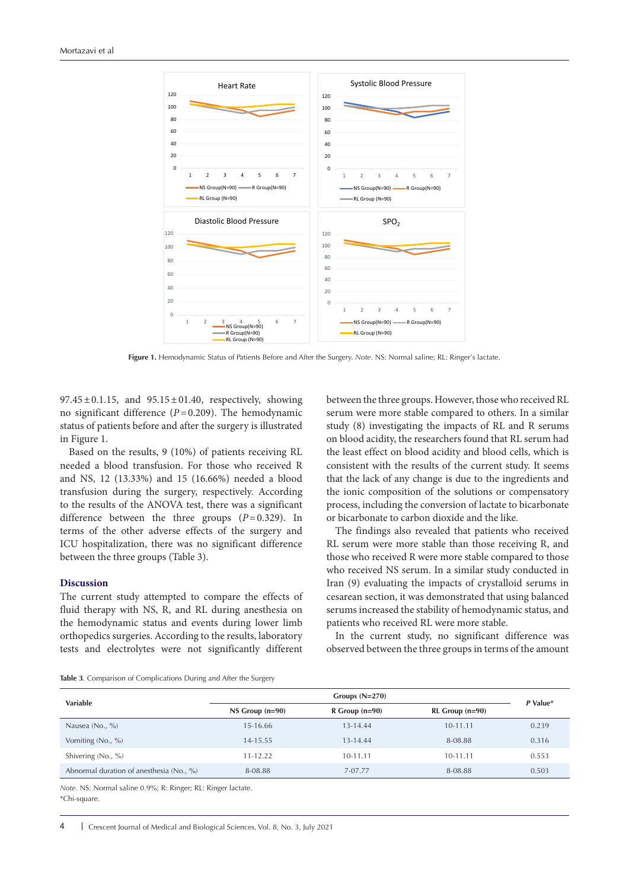

**Figure 1.** Hemodynamic Status of Patients Before and After the Surgery. *Note*. NS: Normal saline; RL: Ringer's lactate.

 $97.45 \pm 0.1.15$ , and  $95.15 \pm 01.40$ , respectively, showing no significant difference (*P*=0.209). The hemodynamic status of patients before and after the surgery is illustrated in Figure 1.

Based on the results, 9 (10%) of patients receiving RL needed a blood transfusion. For those who received R and NS, 12 (13.33%) and 15 (16.66%) needed a blood transfusion during the surgery, respectively. According to the results of the ANOVA test, there was a significant difference between the three groups (*P*=0.329). In terms of the other adverse effects of the surgery and ICU hospitalization, there was no significant difference between the three groups (Table 3).

#### **Discussion**

The current study attempted to compare the effects of fluid therapy with NS, R, and RL during anesthesia on the hemodynamic status and events during lower limb orthopedics surgeries. According to the results, laboratory tests and electrolytes were not significantly different between the three groups. However, those who received RL serum were more stable compared to others. In a similar study (8) investigating the impacts of RL and R serums on blood acidity, the researchers found that RL serum had the least effect on blood acidity and blood cells, which is consistent with the results of the current study. It seems that the lack of any change is due to the ingredients and the ionic composition of the solutions or compensatory process, including the conversion of lactate to bicarbonate or bicarbonate to carbon dioxide and the like.

The findings also revealed that patients who received RL serum were more stable than those receiving R, and those who received R were more stable compared to those who received NS serum. In a similar study conducted in Iran (9) evaluating the impacts of crystalloid serums in cesarean section, it was demonstrated that using balanced serums increased the stability of hemodynamic status, and patients who received RL were more stable.

In the current study, no significant difference was observed between the three groups in terms of the amount

**Table 3**. Comparison of Complications During and After the Surgery

|                                          | Groups $(N=270)$  |                  |                       |          |  |
|------------------------------------------|-------------------|------------------|-----------------------|----------|--|
| Variable                                 | $NS Group (n=90)$ | $R$ Group (n=90) | $RL$ Group ( $n=90$ ) | P Value* |  |
| Nausea (No., %)                          | 15-16.66          | 13-14.44         | 10-11.11              | 0.239    |  |
| Vomiting (No., %)                        | 14-15.55          | 13-14.44         | 8-08.88               | 0.316    |  |
| Shivering (No., %)                       | $11 - 12.22$      | $10 - 11.11$     | $10 - 11.11$          | 0.553    |  |
| Abnormal duration of anesthesia (No., %) | 8-08.88           | 7-07.77          | 8-08.88               | 0.503    |  |

*Note.* NS: Normal saline 0.9%; R: Ringer; RL: Ringer lactate. \*Chi-square.

4 Crescent Journal of Medical and Biological Sciences, Vol. 8, No. 3, July 2021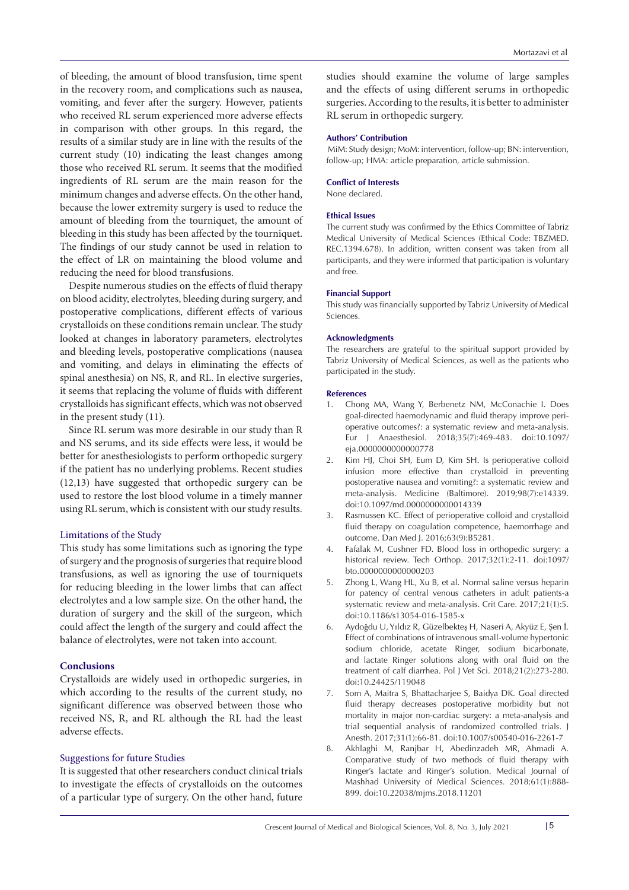of bleeding, the amount of blood transfusion, time spent in the recovery room, and complications such as nausea, vomiting, and fever after the surgery. However, patients who received RL serum experienced more adverse effects in comparison with other groups. In this regard, the results of a similar study are in line with the results of the current study (10) indicating the least changes among those who received RL serum. It seems that the modified ingredients of RL serum are the main reason for the minimum changes and adverse effects. On the other hand, because the lower extremity surgery is used to reduce the amount of bleeding from the tourniquet, the amount of bleeding in this study has been affected by the tourniquet. The findings of our study cannot be used in relation to the effect of LR on maintaining the blood volume and reducing the need for blood transfusions.

Despite numerous studies on the effects of fluid therapy on blood acidity, electrolytes, bleeding during surgery, and postoperative complications, different effects of various crystalloids on these conditions remain unclear. The study looked at changes in laboratory parameters, electrolytes and bleeding levels, postoperative complications (nausea and vomiting, and delays in eliminating the effects of spinal anesthesia) on NS, R, and RL. In elective surgeries, it seems that replacing the volume of fluids with different crystalloids has significant effects, which was not observed in the present study (11).

Since RL serum was more desirable in our study than R and NS serums, and its side effects were less, it would be better for anesthesiologists to perform orthopedic surgery if the patient has no underlying problems. Recent studies (12,13) have suggested that orthopedic surgery can be used to restore the lost blood volume in a timely manner using RL serum, which is consistent with our study results.

#### Limitations of the Study

This study has some limitations such as ignoring the type of surgery and the prognosis of surgeries that require blood transfusions, as well as ignoring the use of tourniquets for reducing bleeding in the lower limbs that can affect electrolytes and a low sample size. On the other hand, the duration of surgery and the skill of the surgeon, which could affect the length of the surgery and could affect the balance of electrolytes, were not taken into account.

#### **Conclusions**

Crystalloids are widely used in orthopedic surgeries, in which according to the results of the current study, no significant difference was observed between those who received NS, R, and RL although the RL had the least adverse effects.

#### Suggestions for future Studies

It is suggested that other researchers conduct clinical trials to investigate the effects of crystalloids on the outcomes of a particular type of surgery. On the other hand, future studies should examine the volume of large samples and the effects of using different serums in orthopedic surgeries. According to the results, it is better to administer RL serum in orthopedic surgery.

#### **Authors' Contribution**

 MiM: Study design; MoM: intervention, follow-up; BN: intervention, follow-up; HMA: article preparation, article submission.

### **Conflict of Interests**

None declared.

#### **Ethical Issues**

The current study was confirmed by the Ethics Committee of Tabriz Medical University of Medical Sciences (Ethical Code: TBZMED. REC.1394.678). In addition, written consent was taken from all participants, and they were informed that participation is voluntary and free.

#### **Financial Support**

This study was financially supported by Tabriz University of Medical Sciences.

#### **Acknowledgments**

The researchers are grateful to the spiritual support provided by Tabriz University of Medical Sciences, as well as the patients who participated in the study.

#### **References**

- 1. Chong MA, Wang Y, Berbenetz NM, McConachie I. Does goal-directed haemodynamic and fluid therapy improve perioperative outcomes?: a systematic review and meta-analysis. Eur J Anaesthesiol. 2018;35(7):469-483. doi:10.1097/ eja.0000000000000778
- 2. Kim HJ, Choi SH, Eum D, Kim SH. Is perioperative colloid infusion more effective than crystalloid in preventing postoperative nausea and vomiting?: a systematic review and meta-analysis. Medicine (Baltimore). 2019;98(7):e14339. doi:10.1097/md.0000000000014339
- 3. Rasmussen KC. Effect of perioperative colloid and crystalloid fluid therapy on coagulation competence, haemorrhage and outcome. Dan Med J. 2016;63(9):B5281.
- 4. Fafalak M, Cushner FD. Blood loss in orthopedic surgery: a historical review. Tech Orthop. 2017;32(1):2-11. doi:1097/ bto.0000000000000203
- 5. Zhong L, Wang HL, Xu B, et al. Normal saline versus heparin for patency of central venous catheters in adult patients-a systematic review and meta-analysis. Crit Care. 2017;21(1):5. doi:10.1186/s13054-016-1585-x
- 6. Aydoğdu U, Yıldız R, Güzelbekteş H, Naseri A, Akyüz E, Şen İ. Effect of combinations of intravenous small-volume hypertonic sodium chloride, acetate Ringer, sodium bicarbonate, and lactate Ringer solutions along with oral fluid on the treatment of calf diarrhea. Pol J Vet Sci. 2018;21(2):273-280. doi:10.24425/119048
- 7. Som A, Maitra S, Bhattacharjee S, Baidya DK. Goal directed fluid therapy decreases postoperative morbidity but not mortality in major non-cardiac surgery: a meta-analysis and trial sequential analysis of randomized controlled trials. J Anesth. 2017;31(1):66-81. doi:10.1007/s00540-016-2261-7
- 8. Akhlaghi M, Ranjbar H, Abedinzadeh MR, Ahmadi A. Comparative study of two methods of fluid therapy with Ringer's lactate and Ringer's solution. Medical Journal of Mashhad University of Medical Sciences. 2018;61(1):888- 899. doi:10.22038/mjms.2018.11201